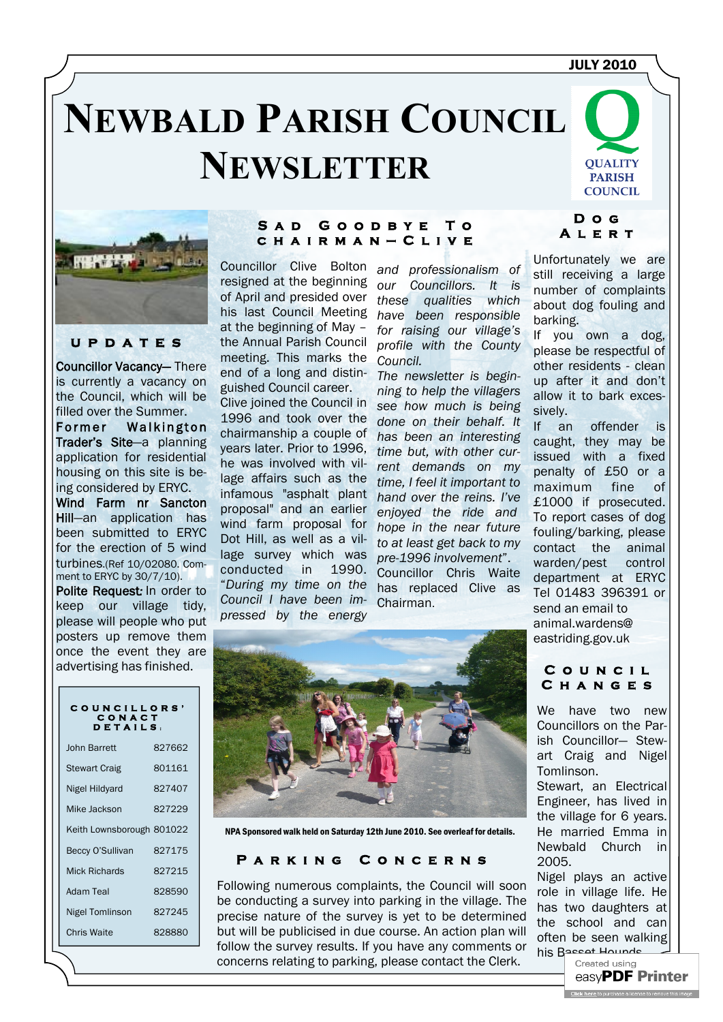# **NEWBALD PARISH COUNCIL NEWSLETTER**





# **u p d a t e s**

Councillor Vacancy— There is currently a vacancy on the Council, which will be filled over the Summer.

Former Walkington Trader's Site—a planning application for residential housing on this site is being considered by ERYC.

Wind Farm nr Sancton Hill—an application has been submitted to ERYC for the erection of 5 wind turbines.(Ref 10/02080. Comment to ERYC by 30/7/10). Polite Request*:* In order to

keep our village tidy, please will people who put posters up remove them once the event they are advertising has finished.

#### **S a d G o o d b y e T o c h a i r m a n — C l i v e**

Councillor Clive Bolton resigned at the beginning of April and presided over his last Council Meeting at the beginning of May – the Annual Parish Council meeting. This marks the end of a long and distinguished Council career.

Clive joined the Council in 1996 and took over the chairmanship a couple of years later. Prior to 1996, he was involved with village affairs such as the infamous "asphalt plant proposal" and an earlier wind farm proposal for Dot Hill, as well as a village survey which was conducted in 1990. "*During my time on the Council I have been impressed by the energy* 

*and professionalism of our Councillors. It is these qualities which have been responsible for raising our village's profile with the County Council.* 

*The newsletter is beginning to help the villagers see how much is being done on their behalf. It has been an interesting time but, with other current demands on my time, I feel it important to hand over the reins. I've enjoyed the ride and hope in the near future to at least get back to my pre-1996 involvement*". Councillor Chris Waite has replaced Clive as Chairman.

### **D o g A l e r t**

Unfortunately we are still receiving a large number of complaints about dog fouling and barking.

If you own a dog, please be respectful of other residents - clean up after it and don't allow it to bark excessively.

If an offender is caught, they may be issued with a fixed penalty of £50 or a maximum fine of £1000 if prosecuted. To report cases of dog fouling/barking, please contact the animal warden/pest control department at ERYC Tel 01483 396391 or send an email to animal.wardens@ eastriding.gov.uk



NPA Sponsored walk held on Saturday 12th June 2010. See overleaf for details.

#### **P a r k i n g C o n c e r n s**

Following numerous complaints, the Council will soon be conducting a survey into parking in the village. The precise nature of the survey is yet to be determined but will be publicised in due course. An action plan will follow the survey results. If you have any comments or concerns relating to parking, please contact the Clerk.

# **C o u n c i l C h a n g e s**

We have two new Councillors on the Parish Councillor— Stewart Craig and Nigel Tomlinson. Stewart, an Electrical Engineer, has lived in the village for 6 years. He married Emma in Newbald Church in 2005.

Nigel plays an active role in village life. He has two daughters at the school and can often be seen walking his [Basset Hounds.](http://www.pdfonline.com/easypdf/?gad=CLjUiqcCEgjbNejkqKEugRjG27j-AyCw_-AP)<br>Created using

easvPDF Printer **Click here** to nurchase a license to remove the

### **C O U N C I L L O R S ' C O N A C T D E T A I L S :**

| John Barrett              | 827662 |
|---------------------------|--------|
| <b>Stewart Craig</b>      | 801161 |
| Nigel Hildyard            | 827407 |
| Mike Jackson              | 827229 |
| Keith Lownsborough 801022 |        |
| Beccy O'Sullivan          | 827175 |
| Mick Richards             | 827215 |
| Adam Teal                 | 828590 |
| Nigel Tomlinson           | 827245 |
| <b>Chris Waite</b>        | 828880 |